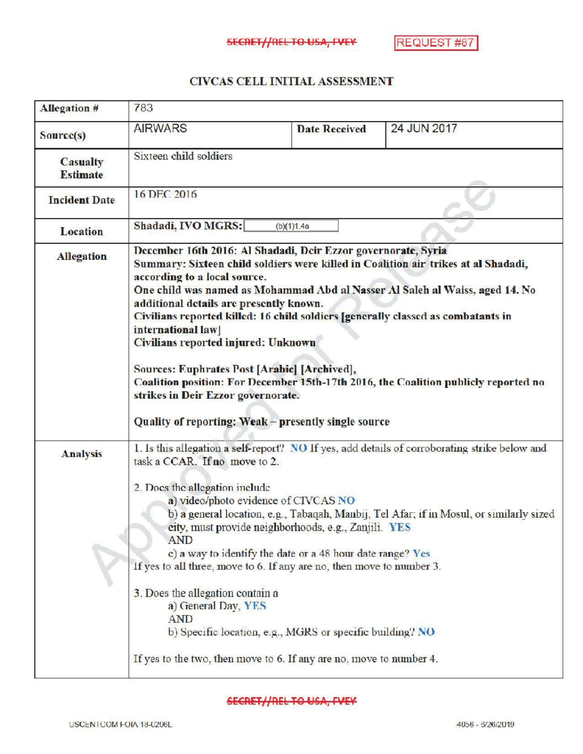## CIVCAS CELL INITIALASSESSMENT

| <b>Allegation #</b>                | 783                                                                                                                                                                                                                                                                                                                                                                                                                                                                                                                                                                                                                                                                                                 |                                                                                                                                                                                                                                                                                                                                                                         |                                                                                                                                                                                          |  |
|------------------------------------|-----------------------------------------------------------------------------------------------------------------------------------------------------------------------------------------------------------------------------------------------------------------------------------------------------------------------------------------------------------------------------------------------------------------------------------------------------------------------------------------------------------------------------------------------------------------------------------------------------------------------------------------------------------------------------------------------------|-------------------------------------------------------------------------------------------------------------------------------------------------------------------------------------------------------------------------------------------------------------------------------------------------------------------------------------------------------------------------|------------------------------------------------------------------------------------------------------------------------------------------------------------------------------------------|--|
| Source(s)                          | <b>AIRWARS</b>                                                                                                                                                                                                                                                                                                                                                                                                                                                                                                                                                                                                                                                                                      | <b>Date Received</b>                                                                                                                                                                                                                                                                                                                                                    | 24 JUN 2017                                                                                                                                                                              |  |
| <b>Casualty</b><br><b>Estimate</b> | Sixteen child soldiers                                                                                                                                                                                                                                                                                                                                                                                                                                                                                                                                                                                                                                                                              |                                                                                                                                                                                                                                                                                                                                                                         |                                                                                                                                                                                          |  |
| <b>Incident Date</b>               | 16 DEC 2016                                                                                                                                                                                                                                                                                                                                                                                                                                                                                                                                                                                                                                                                                         |                                                                                                                                                                                                                                                                                                                                                                         |                                                                                                                                                                                          |  |
| Location                           | Shadadi, IVO MGRS:<br>(b)(1)1.4a                                                                                                                                                                                                                                                                                                                                                                                                                                                                                                                                                                                                                                                                    |                                                                                                                                                                                                                                                                                                                                                                         |                                                                                                                                                                                          |  |
| <b>Allegation</b>                  | December 16th 2016: Al Shadadi, Deir Ezzor governorate, Syria<br>Summary: Sixteen child soldiers were killed in Coalition air trikes at al Shadadi,<br>according to a local source.<br>One child was named as Mohammad Abd al Nasser Al Saleh al Waiss, aged 14. No<br>additional details are presently known.<br>Civilians reported killed: 16 child soldiers [generally classed as combatants in<br>international law<br>Civilians reported injured: Unknown<br>Sources: Euphrates Post [Arabic] [Archived],<br>Coalition position: For December 15th-17th 2016, the Coalition publicly reported no<br>strikes in Deir Ezzor governorate.<br>Quality of reporting: Weak - presently single source |                                                                                                                                                                                                                                                                                                                                                                         |                                                                                                                                                                                          |  |
| <b>Analysis</b>                    | task a CCAR. If no move to 2.<br>2. Does the allegation include<br><b>AND</b><br>3. Does the allegation contain a<br>a) General Day, YES<br><b>AND</b>                                                                                                                                                                                                                                                                                                                                                                                                                                                                                                                                              | a) video/photo evidence of CIVCAS NO<br>city, must provide neighborhoods, e.g., Zanjili. YES<br>c) a way to identify the date or a 48 hour date range? Yes<br>If yes to all three, move to 6. If any are no, then move to number 3.<br>b) Specific location, e.g., MGRS or specific building? NO<br>If yes to the two, then move to 6. If any are no, move to number 4. | 1. Is this allegation a self-report? NO If yes, add details of corroborating strike below and<br>b) a general location, e.g., Tabaqah, Manbij, Tel Afar; if in Mosul, or similarly sized |  |

## **SECRET//REL TO USA, FVEY**